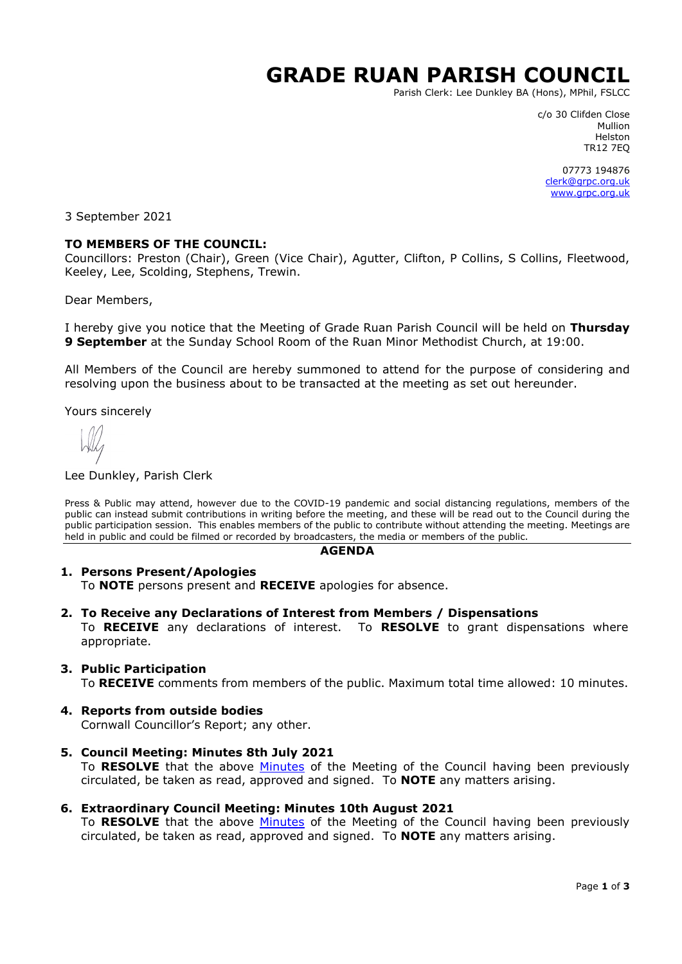# **GRADE RUAN PARISH COUNCIL**

Parish Clerk: Lee Dunkley BA (Hons), MPhil, FSLCC

c/o 30 Clifden Close Mullion Helston TR12 7EQ

07773 194876 [clerk@grpc.org.uk](mailto:clerk@grpc.org.uk) [www.grpc.org.uk](http://www.grpc.org.uk/)

3 September 2021

#### **TO MEMBERS OF THE COUNCIL:**

Councillors: Preston (Chair), Green (Vice Chair), Agutter, Clifton, P Collins, S Collins, Fleetwood, Keeley, Lee, Scolding, Stephens, Trewin.

Dear Members,

I hereby give you notice that the Meeting of Grade Ruan Parish Council will be held on **Thursday 9 September** at the Sunday School Room of the Ruan Minor Methodist Church, at 19:00.

All Members of the Council are hereby summoned to attend for the purpose of considering and resolving upon the business about to be transacted at the meeting as set out hereunder.

Yours sincerely

#### Lee Dunkley, Parish Clerk

Press & Public may attend, however due to the COVID-19 pandemic and social distancing regulations, members of the public can instead submit contributions in writing before the meeting, and these will be read out to the Council during the public participation session. This enables members of the public to contribute without attending the meeting. Meetings are held in public and could be filmed or recorded by broadcasters, the media or members of the public.

#### **AGENDA**

#### **1. Persons Present/Apologies**

To **NOTE** persons present and **RECEIVE** apologies for absence.

**2. To Receive any Declarations of Interest from Members / Dispensations**

To **RECEIVE** any declarations of interest. To **RESOLVE** to grant dispensations where appropriate.

#### **3. Public Participation**

To **RECEIVE** comments from members of the public. Maximum total time allowed: 10 minutes.

**4. Reports from outside bodies**

Cornwall Councillor's Report; any other.

- **5. Council Meeting: Minutes 8th July 2021** To **RESOLVE** that the above [Minutes](https://www.grpc.org.uk/files/8016/2885/9349/Minutes_8_July_2021.pdf) of the Meeting of the Council having been previously circulated, be taken as read, approved and signed. To **NOTE** any matters arising.
- **6. Extraordinary Council Meeting: Minutes 10th August 2021**

To **RESOLVE** that the above [Minutes](https://www.grpc.org.uk/files/8616/2885/9382/Minutes_10_August_2021_DRAFT.pdf) of the Meeting of the Council having been previously circulated, be taken as read, approved and signed. To **NOTE** any matters arising.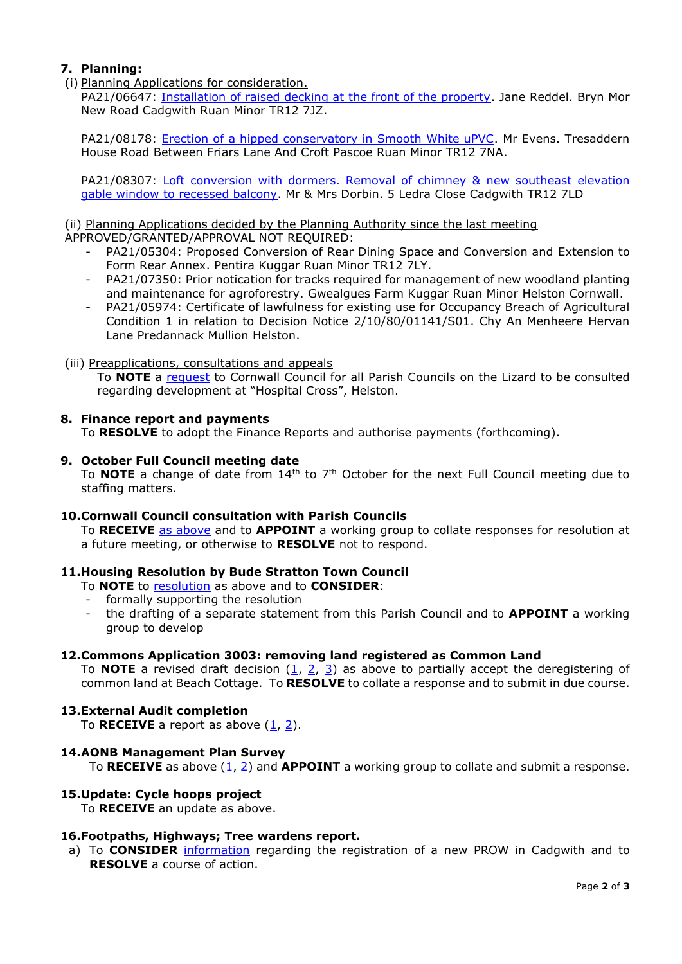# **7. Planning:**

(i) Planning Applications for consideration.

PA21/06647: [Installation of raised decking at the front of the property.](https://planning.cornwall.gov.uk/online-applications/applicationDetails.do?activeTab=documents&keyVal=QVEFG2FGM4Y00&prevPage=inTray) Jane Reddel. Bryn Mor New Road Cadgwith Ruan Minor TR12 7JZ.

PA21/08178: [Erection of a hipped conservatory in Smooth White uPVC.](https://planning.cornwall.gov.uk/online-applications/applicationDetails.do?activeTab=documents&keyVal=QXMOEFFGJZS00&prevPage=inTray) Mr Evens. Tresaddern House Road Between Friars Lane And Croft Pascoe Ruan Minor TR12 7NA.

PA21/08307: [Loft conversion with dormers. Removal of chimney &](https://planning.cornwall.gov.uk/online-applications/applicationDetails.do?activeTab=documents&keyVal=QXVGZXFGHSG00&prevPage=inTray) new southeast elevation [gable window to recessed balcony.](https://planning.cornwall.gov.uk/online-applications/applicationDetails.do?activeTab=documents&keyVal=QXVGZXFGHSG00&prevPage=inTray) Mr & Mrs Dorbin. 5 Ledra Close Cadgwith TR12 7LD

## (ii) Planning Applications decided by the Planning Authority since the last meeting

APPROVED/GRANTED/APPROVAL NOT REQUIRED:

- PA21/05304: Proposed Conversion of Rear Dining Space and Conversion and Extension to Form Rear Annex. Pentira Kuggar Ruan Minor TR12 7LY.
- PA21/07350: Prior notication for tracks required for management of new woodland planting and maintenance for agroforestry. Gwealgues Farm Kuggar Ruan Minor Helston Cornwall.
- PA21/05974: Certificate of lawfulness for existing use for Occupancy Breach of Agricultural Condition 1 in relation to Decision Notice 2/10/80/01141/S01. Chy An Menheere Hervan Lane Predannack Mullion Helston.

## (iii) Preapplications, consultations and appeals

To **NOTE** a [request](https://www.grpc.org.uk/files/5116/3057/6817/Item_7iii_-_Hospital_Cross_consultation.pdf) to Cornwall Council for all Parish Councils on the Lizard to be consulted regarding development at "Hospital Cross", Helston.

## **8. Finance report and payments**

To **RESOLVE** to adopt the Finance Reports and authorise payments (forthcoming).

#### **9. October Full Council meeting date**

To **NOTE** a change of date from 14<sup>th</sup> to 7<sup>th</sup> October for the next Full Council meeting due to staffing matters.

## **10.Cornwall Council consultation with Parish Councils**

To **RECEIVE** [as above](https://www.grpc.org.uk/files/5616/3057/6912/Item_10_-_Questionnaire_CC.pdf) and to **APPOINT** a working group to collate responses for resolution at a future meeting, or otherwise to **RESOLVE** not to respond.

## **11.Housing Resolution by Bude Stratton Town Council**

- To **NOTE** to [resolution](https://www.grpc.org.uk/files/6616/3057/7055/Item_11_-_Bude_Stratton_TC_Housing_resolution.pdf) as above and to **CONSIDER**:
- formally supporting the resolution
- the drafting of a separate statement from this Parish Council and to **APPOINT** a working group to develop

#### **12.Commons Application 3003: removing land registered as Common Land**

To **NOTE** a revised draft decision  $(1, 2, 3)$  $(1, 2, 3)$  $(1, 2, 3)$  as above to partially accept the deregistering of common land at Beach Cottage. To **RESOLVE** to collate a response and to submit in due course.

## **13.External Audit completion**

To **RECEIVE** a report as above  $(1, 2)$  $(1, 2)$ .

#### **14.AONB Management Plan Survey**

To **RECEIVE** as above  $(1, 2)$  $(1, 2)$  and **APPOINT** a working group to collate and submit a response.

## **15.Update: Cycle hoops project**

To **RECEIVE** an update as above.

## **16.Footpaths, Highways; Tree wardens report.**

a) To **CONSIDER** [information](https://www.grpc.org.uk/files/3016/3057/7327/Item_15_-_Footpath_registration_process.pdf) regarding the registration of a new PROW in Cadgwith and to **RESOLVE** a course of action.